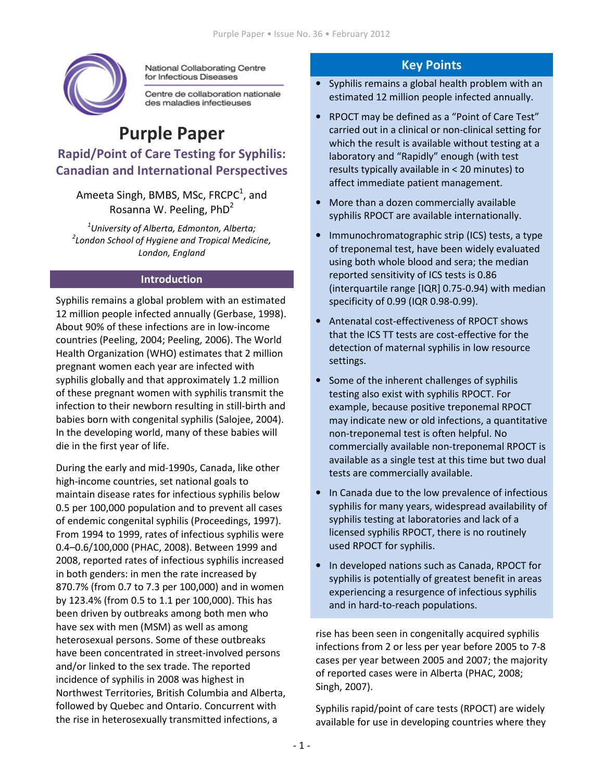

National Collaborating Centre for Infectious Diseases

Centre de collaboration nationale des maladies infectieuses

# Purple Paper Rapid/Point of Care Testing for Syphilis: Canadian and International Perspectives

Ameeta Singh, BMBS, MSc, FRCPC $^1$ , and Rosanna W. Peeling, PhD<sup>2</sup>

 $^{\text{\tiny{\textup{1}}}}$ University of Alberta, Edmonton, Alberta;  $^2$ London School of Hygiene and Tropical Medicine, London, England

#### Introduction

Syphilis remains a global problem with an estimated 12 million people infected annually (Gerbase, 1998). About 90% of these infections are in low-income countries (Peeling, 2004; Peeling, 2006). The World Health Organization (WHO) estimates that 2 million pregnant women each year are infected with syphilis globally and that approximately 1.2 million of these pregnant women with syphilis transmit the infection to their newborn resulting in still-birth and babies born with congenital syphilis (Salojee, 2004). In the developing world, many of these babies will die in the first year of life.

During the early and mid-1990s, Canada, like other high-income countries, set national goals to maintain disease rates for infectious syphilis below 0.5 per 100,000 population and to prevent all cases of endemic congenital syphilis (Proceedings, 1997). From 1994 to 1999, rates of infectious syphilis were 0.4–0.6/100,000 (PHAC, 2008). Between 1999 and 2008, reported rates of infectious syphilis increased in both genders: in men the rate increased by 870.7% (from 0.7 to 7.3 per 100,000) and in women by 123.4% (from 0.5 to 1.1 per 100,000). This has been driven by outbreaks among both men who have sex with men (MSM) as well as among heterosexual persons. Some of these outbreaks have been concentrated in street-involved persons and/or linked to the sex trade. The reported incidence of syphilis in 2008 was highest in Northwest Territories, British Columbia and Alberta, followed by Quebec and Ontario. Concurrent with the rise in heterosexually transmitted infections, a

## Key Points

- Syphilis remains a global health problem with an estimated 12 million people infected annually.
- RPOCT may be defined as a "Point of Care Test" carried out in a clinical or non-clinical setting for which the result is available without testing at a laboratory and "Rapidly" enough (with test results typically available in < 20 minutes) to affect immediate patient management.
- More than a dozen commercially available syphilis RPOCT are available internationally.
- Immunochromatographic strip (ICS) tests, a type of treponemal test, have been widely evaluated using both whole blood and sera; the median reported sensitivity of ICS tests is 0.86 (interquartile range [IQR] 0.75-0.94) with median specificity of 0.99 (IQR 0.98-0.99).
- Antenatal cost-effectiveness of RPOCT shows that the ICS TT tests are cost-effective for the detection of maternal syphilis in low resource settings.
- Some of the inherent challenges of syphilis testing also exist with syphilis RPOCT. For example, because positive treponemal RPOCT may indicate new or old infections, a quantitative non-treponemal test is often helpful. No commercially available non-treponemal RPOCT is available as a single test at this time but two dual tests are commercially available.
- In Canada due to the low prevalence of infectious syphilis for many years, widespread availability of syphilis testing at laboratories and lack of a licensed syphilis RPOCT, there is no routinely used RPOCT for syphilis.
- In developed nations such as Canada, RPOCT for syphilis is potentially of greatest benefit in areas experiencing a resurgence of infectious syphilis and in hard-to-reach populations.

rise has been seen in congenitally acquired syphilis infections from 2 or less per year before 2005 to 7-8 cases per year between 2005 and 2007; the majority of reported cases were in Alberta (PHAC, 2008; Singh, 2007).

Syphilis rapid/point of care tests (RPOCT) are widely available for use in developing countries where they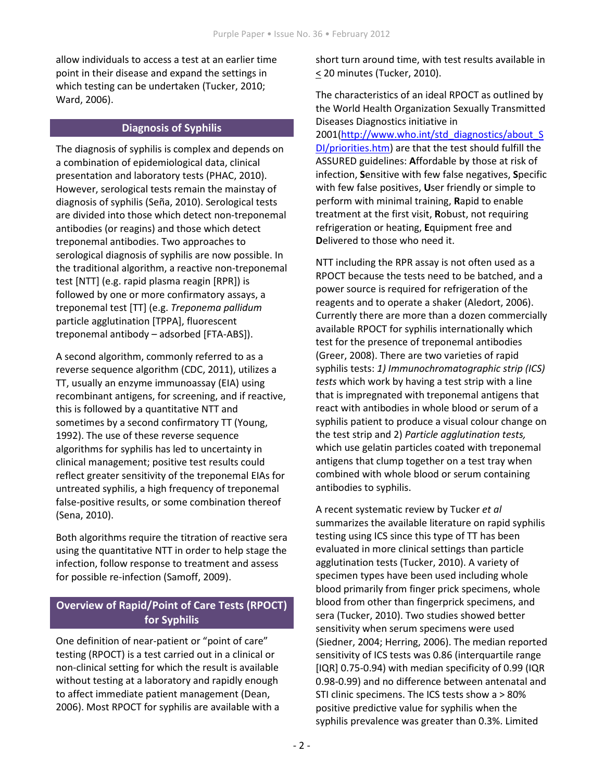allow individuals to access a test at an earlier time point in their disease and expand the settings in which testing can be undertaken (Tucker, 2010; Ward, 2006).

#### Diagnosis of Syphilis

The diagnosis of syphilis is complex and depends on a combination of epidemiological data, clinical presentation and laboratory tests (PHAC, 2010). However, serological tests remain the mainstay of diagnosis of syphilis (Seña, 2010). Serological tests are divided into those which detect non-treponemal antibodies (or reagins) and those which detect treponemal antibodies. Two approaches to serological diagnosis of syphilis are now possible. In the traditional algorithm, a reactive non-treponemal test [NTT] (e.g. rapid plasma reagin [RPR]) is followed by one or more confirmatory assays, a treponemal test [TT] (e.g. Treponema pallidum particle agglutination [TPPA], fluorescent treponemal antibody – adsorbed [FTA-ABS]).

A second algorithm, commonly referred to as a reverse sequence algorithm (CDC, 2011), utilizes a TT, usually an enzyme immunoassay (EIA) using recombinant antigens, for screening, and if reactive, this is followed by a quantitative NTT and sometimes by a second confirmatory TT (Young, 1992). The use of these reverse sequence algorithms for syphilis has led to uncertainty in clinical management; positive test results could reflect greater sensitivity of the treponemal EIAs for untreated syphilis, a high frequency of treponemal false-positive results, or some combination thereof (Sena, 2010).

Both algorithms require the titration of reactive sera using the quantitative NTT in order to help stage the infection, follow response to treatment and assess for possible re-infection (Samoff, 2009).

# Overview of Rapid/Point of Care Tests (RPOCT) for Syphilis

One definition of near-patient or "point of care" testing (RPOCT) is a test carried out in a clinical or non-clinical setting for which the result is available without testing at a laboratory and rapidly enough to affect immediate patient management (Dean, 2006). Most RPOCT for syphilis are available with a short turn around time, with test results available in < 20 minutes (Tucker, 2010).

The characteristics of an ideal RPOCT as outlined by the World Health Organization Sexually Transmitted Diseases Diagnostics initiative in 2001(http://www.who.int/std\_diagnostics/about\_S DI/priorities.htm) are that the test should fulfill the ASSURED guidelines: Affordable by those at risk of infection, Sensitive with few false negatives, Specific with few false positives, User friendly or simple to perform with minimal training, Rapid to enable treatment at the first visit, Robust, not requiring refrigeration or heating, Equipment free and Delivered to those who need it.

NTT including the RPR assay is not often used as a RPOCT because the tests need to be batched, and a power source is required for refrigeration of the reagents and to operate a shaker (Aledort, 2006). Currently there are more than a dozen commercially available RPOCT for syphilis internationally which test for the presence of treponemal antibodies (Greer, 2008). There are two varieties of rapid syphilis tests: 1) Immunochromatographic strip (ICS) tests which work by having a test strip with a line that is impregnated with treponemal antigens that react with antibodies in whole blood or serum of a syphilis patient to produce a visual colour change on the test strip and 2) Particle agglutination tests, which use gelatin particles coated with treponemal antigens that clump together on a test tray when combined with whole blood or serum containing antibodies to syphilis.

A recent systematic review by Tucker et al summarizes the available literature on rapid syphilis testing using ICS since this type of TT has been evaluated in more clinical settings than particle agglutination tests (Tucker, 2010). A variety of specimen types have been used including whole blood primarily from finger prick specimens, whole blood from other than fingerprick specimens, and sera (Tucker, 2010). Two studies showed better sensitivity when serum specimens were used (Siedner, 2004; Herring, 2006). The median reported sensitivity of ICS tests was 0.86 (interquartile range [IQR] 0.75-0.94) with median specificity of 0.99 (IQR 0.98-0.99) and no difference between antenatal and STI clinic specimens. The ICS tests show a > 80% positive predictive value for syphilis when the syphilis prevalence was greater than 0.3%. Limited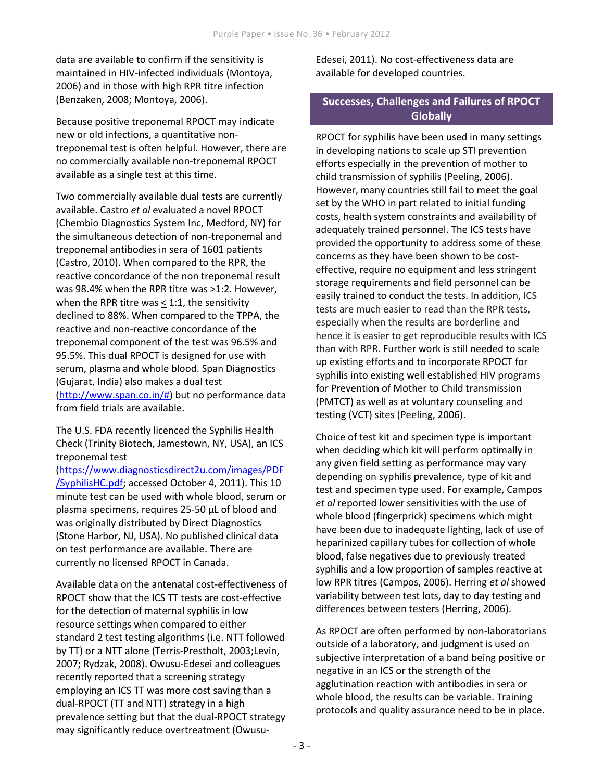data are available to confirm if the sensitivity is maintained in HIV-infected individuals (Montoya, 2006) and in those with high RPR titre infection (Benzaken, 2008; Montoya, 2006).

Because positive treponemal RPOCT may indicate new or old infections, a quantitative nontreponemal test is often helpful. However, there are no commercially available non-treponemal RPOCT available as a single test at this time.

Two commercially available dual tests are currently available. Castro et al evaluated a novel RPOCT (Chembio Diagnostics System Inc, Medford, NY) for the simultaneous detection of non-treponemal and treponemal antibodies in sera of 1601 patients (Castro, 2010). When compared to the RPR, the reactive concordance of the non treponemal result was 98.4% when the RPR titre was  $\geq$ 1:2. However, when the RPR titre was  $\leq$  1:1, the sensitivity declined to 88%. When compared to the TPPA, the reactive and non-reactive concordance of the treponemal component of the test was 96.5% and 95.5%. This dual RPOCT is designed for use with serum, plasma and whole blood. Span Diagnostics (Gujarat, India) also makes a dual test (http://www.span.co.in/#) but no performance data from field trials are available.

The U.S. FDA recently licenced the Syphilis Health Check (Trinity Biotech, Jamestown, NY, USA), an ICS treponemal test

(https://www.diagnosticsdirect2u.com/images/PDF /SyphilisHC.pdf; accessed October 4, 2011). This 10 minute test can be used with whole blood, serum or plasma specimens, requires 25-50 µL of blood and was originally distributed by Direct Diagnostics (Stone Harbor, NJ, USA). No published clinical data on test performance are available. There are currently no licensed RPOCT in Canada.

Available data on the antenatal cost-effectiveness of RPOCT show that the ICS TT tests are cost-effective for the detection of maternal syphilis in low resource settings when compared to either standard 2 test testing algorithms (i.e. NTT followed by TT) or a NTT alone (Terris-Prestholt, 2003;Levin, 2007; Rydzak, 2008). Owusu-Edesei and colleagues recently reported that a screening strategy employing an ICS TT was more cost saving than a dual-RPOCT (TT and NTT) strategy in a high prevalence setting but that the dual-RPOCT strategy may significantly reduce overtreatment (OwusuEdesei, 2011). No cost-effectiveness data are available for developed countries.

### Successes, Challenges and Failures of RPOCT **Globally**

RPOCT for syphilis have been used in many settings in developing nations to scale up STI prevention efforts especially in the prevention of mother to child transmission of syphilis (Peeling, 2006). However, many countries still fail to meet the goal set by the WHO in part related to initial funding costs, health system constraints and availability of adequately trained personnel. The ICS tests have provided the opportunity to address some of these concerns as they have been shown to be costeffective, require no equipment and less stringent storage requirements and field personnel can be easily trained to conduct the tests. In addition, ICS tests are much easier to read than the RPR tests, especially when the results are borderline and hence it is easier to get reproducible results with ICS than with RPR. Further work is still needed to scale up existing efforts and to incorporate RPOCT for syphilis into existing well established HIV programs for Prevention of Mother to Child transmission (PMTCT) as well as at voluntary counseling and testing (VCT) sites (Peeling, 2006).

Choice of test kit and specimen type is important when deciding which kit will perform optimally in any given field setting as performance may vary depending on syphilis prevalence, type of kit and test and specimen type used. For example, Campos et al reported lower sensitivities with the use of whole blood (fingerprick) specimens which might have been due to inadequate lighting, lack of use of heparinized capillary tubes for collection of whole blood, false negatives due to previously treated syphilis and a low proportion of samples reactive at low RPR titres (Campos, 2006). Herring et al showed variability between test lots, day to day testing and differences between testers (Herring, 2006).

As RPOCT are often performed by non-laboratorians outside of a laboratory, and judgment is used on subjective interpretation of a band being positive or negative in an ICS or the strength of the agglutination reaction with antibodies in sera or whole blood, the results can be variable. Training protocols and quality assurance need to be in place.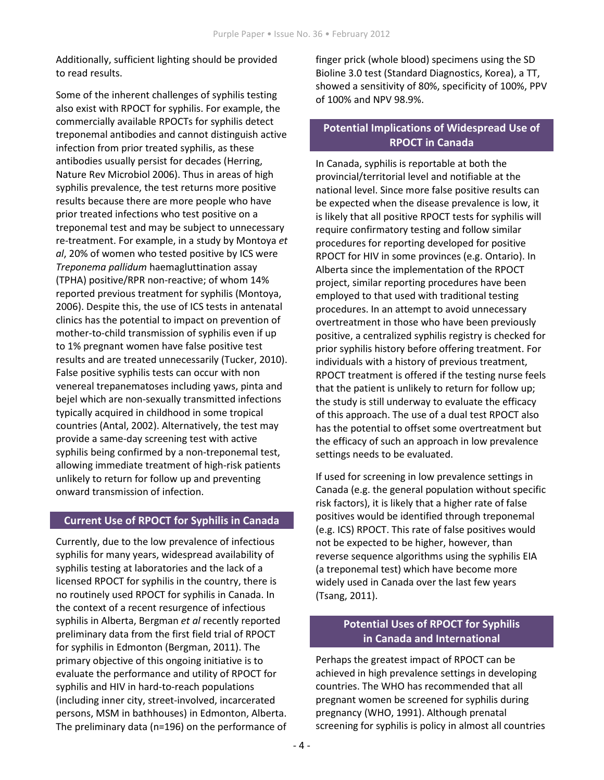Additionally, sufficient lighting should be provided to read results.

Some of the inherent challenges of syphilis testing also exist with RPOCT for syphilis. For example, the commercially available RPOCTs for syphilis detect treponemal antibodies and cannot distinguish active infection from prior treated syphilis, as these antibodies usually persist for decades (Herring, Nature Rev Microbiol 2006). Thus in areas of high syphilis prevalence, the test returns more positive results because there are more people who have prior treated infections who test positive on a treponemal test and may be subject to unnecessary re-treatment. For example, in a study by Montoya et al, 20% of women who tested positive by ICS were Treponema pallidum haemagluttination assay (TPHA) positive/RPR non-reactive; of whom 14% reported previous treatment for syphilis (Montoya, 2006). Despite this, the use of ICS tests in antenatal clinics has the potential to impact on prevention of mother-to-child transmission of syphilis even if up to 1% pregnant women have false positive test results and are treated unnecessarily (Tucker, 2010). False positive syphilis tests can occur with non venereal trepanematoses including yaws, pinta and bejel which are non-sexually transmitted infections typically acquired in childhood in some tropical countries (Antal, 2002). Alternatively, the test may provide a same-day screening test with active syphilis being confirmed by a non-treponemal test, allowing immediate treatment of high-risk patients unlikely to return for follow up and preventing onward transmission of infection.

#### Current Use of RPOCT for Syphilis in Canada

Currently, due to the low prevalence of infectious syphilis for many years, widespread availability of syphilis testing at laboratories and the lack of a licensed RPOCT for syphilis in the country, there is no routinely used RPOCT for syphilis in Canada. In the context of a recent resurgence of infectious syphilis in Alberta, Bergman et al recently reported preliminary data from the first field trial of RPOCT for syphilis in Edmonton (Bergman, 2011). The primary objective of this ongoing initiative is to evaluate the performance and utility of RPOCT for syphilis and HIV in hard-to-reach populations (including inner city, street-involved, incarcerated persons, MSM in bathhouses) in Edmonton, Alberta. The preliminary data (n=196) on the performance of finger prick (whole blood) specimens using the SD Bioline 3.0 test (Standard Diagnostics, Korea), a TT, showed a sensitivity of 80%, specificity of 100%, PPV of 100% and NPV 98.9%.

### Potential Implications of Widespread Use of RPOCT in Canada

In Canada, syphilis is reportable at both the provincial/territorial level and notifiable at the national level. Since more false positive results can be expected when the disease prevalence is low, it is likely that all positive RPOCT tests for syphilis will require confirmatory testing and follow similar procedures for reporting developed for positive RPOCT for HIV in some provinces (e.g. Ontario). In Alberta since the implementation of the RPOCT project, similar reporting procedures have been employed to that used with traditional testing procedures. In an attempt to avoid unnecessary overtreatment in those who have been previously positive, a centralized syphilis registry is checked for prior syphilis history before offering treatment. For individuals with a history of previous treatment, RPOCT treatment is offered if the testing nurse feels that the patient is unlikely to return for follow up; the study is still underway to evaluate the efficacy of this approach. The use of a dual test RPOCT also has the potential to offset some overtreatment but the efficacy of such an approach in low prevalence settings needs to be evaluated.

If used for screening in low prevalence settings in Canada (e.g. the general population without specific risk factors), it is likely that a higher rate of false positives would be identified through treponemal (e.g. ICS) RPOCT. This rate of false positives would not be expected to be higher, however, than reverse sequence algorithms using the syphilis EIA (a treponemal test) which have become more widely used in Canada over the last few years (Tsang, 2011).

# Potential Uses of RPOCT for Syphilis in Canada and International

Perhaps the greatest impact of RPOCT can be achieved in high prevalence settings in developing countries. The WHO has recommended that all pregnant women be screened for syphilis during pregnancy (WHO, 1991). Although prenatal screening for syphilis is policy in almost all countries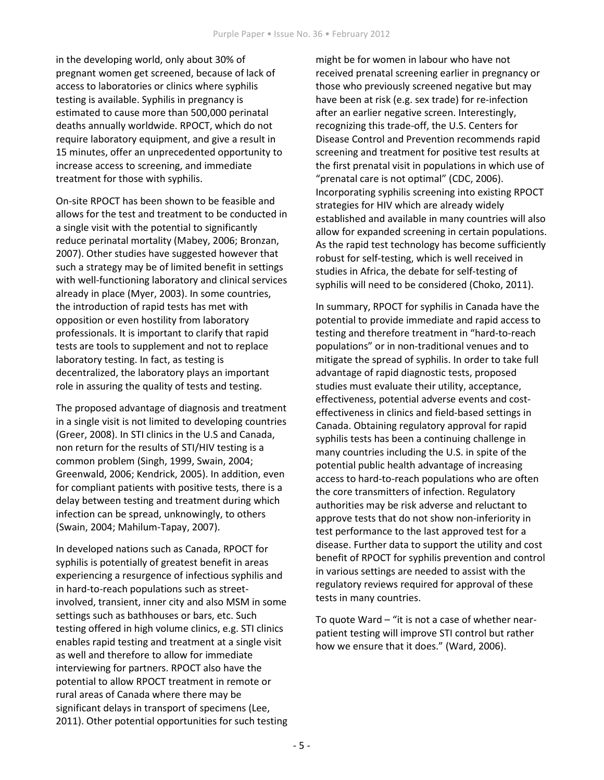in the developing world, only about 30% of pregnant women get screened, because of lack of access to laboratories or clinics where syphilis testing is available. Syphilis in pregnancy is estimated to cause more than 500,000 perinatal deaths annually worldwide. RPOCT, which do not require laboratory equipment, and give a result in 15 minutes, offer an unprecedented opportunity to increase access to screening, and immediate treatment for those with syphilis.

On-site RPOCT has been shown to be feasible and allows for the test and treatment to be conducted in a single visit with the potential to significantly reduce perinatal mortality (Mabey, 2006; Bronzan, 2007). Other studies have suggested however that such a strategy may be of limited benefit in settings with well-functioning laboratory and clinical services already in place (Myer, 2003). In some countries, the introduction of rapid tests has met with opposition or even hostility from laboratory professionals. It is important to clarify that rapid tests are tools to supplement and not to replace laboratory testing. In fact, as testing is decentralized, the laboratory plays an important role in assuring the quality of tests and testing.

The proposed advantage of diagnosis and treatment in a single visit is not limited to developing countries (Greer, 2008). In STI clinics in the U.S and Canada, non return for the results of STI/HIV testing is a common problem (Singh, 1999, Swain, 2004; Greenwald, 2006; Kendrick, 2005). In addition, even for compliant patients with positive tests, there is a delay between testing and treatment during which infection can be spread, unknowingly, to others (Swain, 2004; Mahilum-Tapay, 2007).

In developed nations such as Canada, RPOCT for syphilis is potentially of greatest benefit in areas experiencing a resurgence of infectious syphilis and in hard-to-reach populations such as streetinvolved, transient, inner city and also MSM in some settings such as bathhouses or bars, etc. Such testing offered in high volume clinics, e.g. STI clinics enables rapid testing and treatment at a single visit as well and therefore to allow for immediate interviewing for partners. RPOCT also have the potential to allow RPOCT treatment in remote or rural areas of Canada where there may be significant delays in transport of specimens (Lee, 2011). Other potential opportunities for such testing might be for women in labour who have not received prenatal screening earlier in pregnancy or those who previously screened negative but may have been at risk (e.g. sex trade) for re-infection after an earlier negative screen. Interestingly, recognizing this trade-off, the U.S. Centers for Disease Control and Prevention recommends rapid screening and treatment for positive test results at the first prenatal visit in populations in which use of "prenatal care is not optimal" (CDC, 2006). Incorporating syphilis screening into existing RPOCT strategies for HIV which are already widely established and available in many countries will also allow for expanded screening in certain populations. As the rapid test technology has become sufficiently robust for self-testing, which is well received in studies in Africa, the debate for self-testing of syphilis will need to be considered (Choko, 2011).

In summary, RPOCT for syphilis in Canada have the potential to provide immediate and rapid access to testing and therefore treatment in "hard-to-reach populations" or in non-traditional venues and to mitigate the spread of syphilis. In order to take full advantage of rapid diagnostic tests, proposed studies must evaluate their utility, acceptance, effectiveness, potential adverse events and costeffectiveness in clinics and field-based settings in Canada. Obtaining regulatory approval for rapid syphilis tests has been a continuing challenge in many countries including the U.S. in spite of the potential public health advantage of increasing access to hard-to-reach populations who are often the core transmitters of infection. Regulatory authorities may be risk adverse and reluctant to approve tests that do not show non-inferiority in test performance to the last approved test for a disease. Further data to support the utility and cost benefit of RPOCT for syphilis prevention and control in various settings are needed to assist with the regulatory reviews required for approval of these tests in many countries.

To quote Ward – "it is not a case of whether nearpatient testing will improve STI control but rather how we ensure that it does." (Ward, 2006).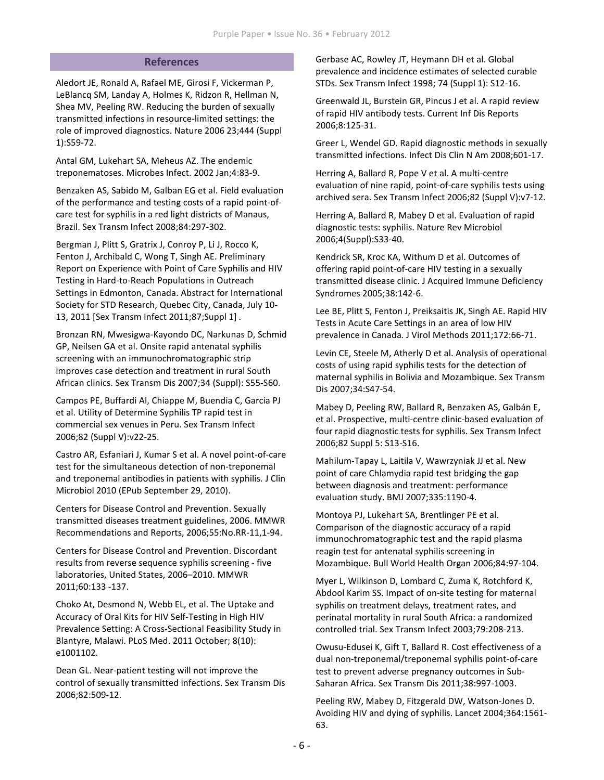#### References

Aledort JE, Ronald A, Rafael ME, Girosi F, Vickerman P, LeBlancq SM, Landay A, Holmes K, Ridzon R, Hellman N, Shea MV, Peeling RW. Reducing the burden of sexually transmitted infections in resource-limited settings: the role of improved diagnostics. Nature 2006 23;444 (Suppl 1):S59-72.

Antal GM, Lukehart SA, Meheus AZ. The endemic treponematoses. Microbes Infect. 2002 Jan;4:83-9.

Benzaken AS, Sabido M, Galban EG et al. Field evaluation of the performance and testing costs of a rapid point-ofcare test for syphilis in a red light districts of Manaus, Brazil. Sex Transm Infect 2008;84:297-302.

Bergman J, Plitt S, Gratrix J, Conroy P, Li J, Rocco K, Fenton J, Archibald C, Wong T, Singh AE. Preliminary Report on Experience with Point of Care Syphilis and HIV Testing in Hard-to-Reach Populations in Outreach Settings in Edmonton, Canada. Abstract for International Society for STD Research, Quebec City, Canada, July 10- 13, 2011 [Sex Transm Infect 2011;87;Suppl 1] .

Bronzan RN, Mwesigwa-Kayondo DC, Narkunas D, Schmid GP, Neilsen GA et al. Onsite rapid antenatal syphilis screening with an immunochromatographic strip improves case detection and treatment in rural South African clinics. Sex Transm Dis 2007;34 (Suppl): S55-S60.

Campos PE, Buffardi Al, Chiappe M, Buendia C, Garcia PJ et al. Utility of Determine Syphilis TP rapid test in commercial sex venues in Peru. Sex Transm Infect 2006;82 (Suppl V):v22-25.

Castro AR, Esfaniari J, Kumar S et al. A novel point-of-care test for the simultaneous detection of non-treponemal and treponemal antibodies in patients with syphilis. J Clin Microbiol 2010 (EPub September 29, 2010).

Centers for Disease Control and Prevention. Sexually transmitted diseases treatment guidelines, 2006. MMWR Recommendations and Reports, 2006;55:No.RR-11,1-94.

Centers for Disease Control and Prevention. Discordant results from reverse sequence syphilis screening - five laboratories, United States, 2006–2010. MMWR 2011;60:133 -137.

Choko At, Desmond N, Webb EL, et al. The Uptake and Accuracy of Oral Kits for HIV Self-Testing in High HIV Prevalence Setting: A Cross-Sectional Feasibility Study in Blantyre, Malawi. PLoS Med. 2011 October; 8(10): e1001102.

Dean GL. Near-patient testing will not improve the control of sexually transmitted infections. Sex Transm Dis 2006;82:509-12.

Gerbase AC, Rowley JT, Heymann DH et al. Global prevalence and incidence estimates of selected curable STDs. Sex Transm Infect 1998; 74 (Suppl 1): S12-16.

Greenwald JL, Burstein GR, Pincus J et al. A rapid review of rapid HIV antibody tests. Current Inf Dis Reports 2006;8:125-31.

Greer L, Wendel GD. Rapid diagnostic methods in sexually transmitted infections. Infect Dis Clin N Am 2008;601-17.

Herring A, Ballard R, Pope V et al. A multi-centre evaluation of nine rapid, point-of-care syphilis tests using archived sera. Sex Transm Infect 2006;82 (Suppl V):v7-12.

Herring A, Ballard R, Mabey D et al. Evaluation of rapid diagnostic tests: syphilis. Nature Rev Microbiol 2006;4(Suppl):S33-40.

Kendrick SR, Kroc KA, Withum D et al. Outcomes of offering rapid point-of-care HIV testing in a sexually transmitted disease clinic. J Acquired Immune Deficiency Syndromes 2005;38:142-6.

Lee BE, Plitt S, Fenton J, Preiksaitis JK, Singh AE. Rapid HIV Tests in Acute Care Settings in an area of low HIV prevalence in Canada. J Virol Methods 2011;172:66-71.

Levin CE, Steele M, Atherly D et al. Analysis of operational costs of using rapid syphilis tests for the detection of maternal syphilis in Bolivia and Mozambique. Sex Transm Dis 2007;34:S47-54.

Mabey D, Peeling RW, Ballard R, Benzaken AS, Galbán E, et al. Prospective, multi-centre clinic-based evaluation of four rapid diagnostic tests for syphilis. Sex Transm Infect 2006;82 Suppl 5: S13-S16.

Mahilum-Tapay L, Laitila V, Wawrzyniak JJ et al. New point of care Chlamydia rapid test bridging the gap between diagnosis and treatment: performance evaluation study. BMJ 2007;335:1190-4.

Montoya PJ, Lukehart SA, Brentlinger PE et al. Comparison of the diagnostic accuracy of a rapid immunochromatographic test and the rapid plasma reagin test for antenatal syphilis screening in Mozambique. Bull World Health Organ 2006;84:97-104.

Myer L, Wilkinson D, Lombard C, Zuma K, Rotchford K, Abdool Karim SS. Impact of on-site testing for maternal syphilis on treatment delays, treatment rates, and perinatal mortality in rural South Africa: a randomized controlled trial. Sex Transm Infect 2003;79:208-213.

Owusu-Edusei K, Gift T, Ballard R. Cost effectiveness of a dual non-treponemal/treponemal syphilis point-of-care test to prevent adverse pregnancy outcomes in Sub-Saharan Africa. Sex Transm Dis 2011;38:997-1003.

Peeling RW, Mabey D, Fitzgerald DW, Watson-Jones D. Avoiding HIV and dying of syphilis. Lancet 2004;364:1561- 63.